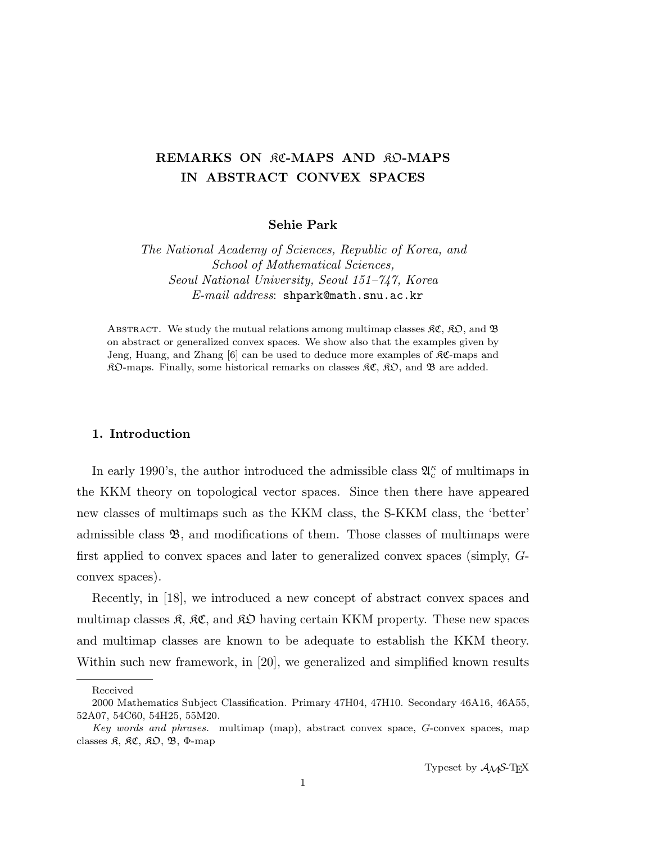# REMARKS ON RC-MAPS AND RO-MAPS IN ABSTRACT CONVEX SPACES

Sehie Park

The National Academy of Sciences, Republic of Korea, and School of Mathematical Sciences, Seoul National University, Seoul 151–747, Korea E-mail address: shpark@math.snu.ac.kr

ABSTRACT. We study the mutual relations among multimap classes  $\mathfrak{RC}, \mathfrak{RO},$  and  $\mathfrak{B}$ on abstract or generalized convex spaces. We show also that the examples given by Jeng, Huang, and Zhang  $[6]$  can be used to deduce more examples of  $\mathcal{RC}$ -maps and  $\mathcal{R}D$ -maps. Finally, some historical remarks on classes  $\mathcal{R}C$ ,  $\mathcal{R}D$ , and  $\mathcal{B}$  are added.

### 1. Introduction

In early 1990's, the author introduced the admissible class  $\mathfrak{A}_{c}^{\kappa}$  of multimaps in the KKM theory on topological vector spaces. Since then there have appeared new classes of multimaps such as the KKM class, the S-KKM class, the 'better' admissible class  $\mathfrak{B}$ , and modifications of them. Those classes of multimaps were first applied to convex spaces and later to generalized convex spaces (simply, Gconvex spaces).

Recently, in [18], we introduced a new concept of abstract convex spaces and multimap classes  $\mathfrak{K}, \mathfrak{K}\mathfrak{C}$ , and  $\mathfrak{K}\mathfrak{D}$  having certain KKM property. These new spaces and multimap classes are known to be adequate to establish the KKM theory. Within such new framework, in [20], we generalized and simplified known results

Received

<sup>2000</sup> Mathematics Subject Classification. Primary 47H04, 47H10. Secondary 46A16, 46A55, 52A07, 54C60, 54H25, 55M20.

Key words and phrases. multimap (map), abstract convex space, G-convex spaces, map classes  $\mathfrak{K}$ ,  $\mathfrak{K} \mathfrak{C}$ ,  $\mathfrak{K} \mathfrak{O}$ ,  $\mathfrak{B}$ ,  $\Phi$ -map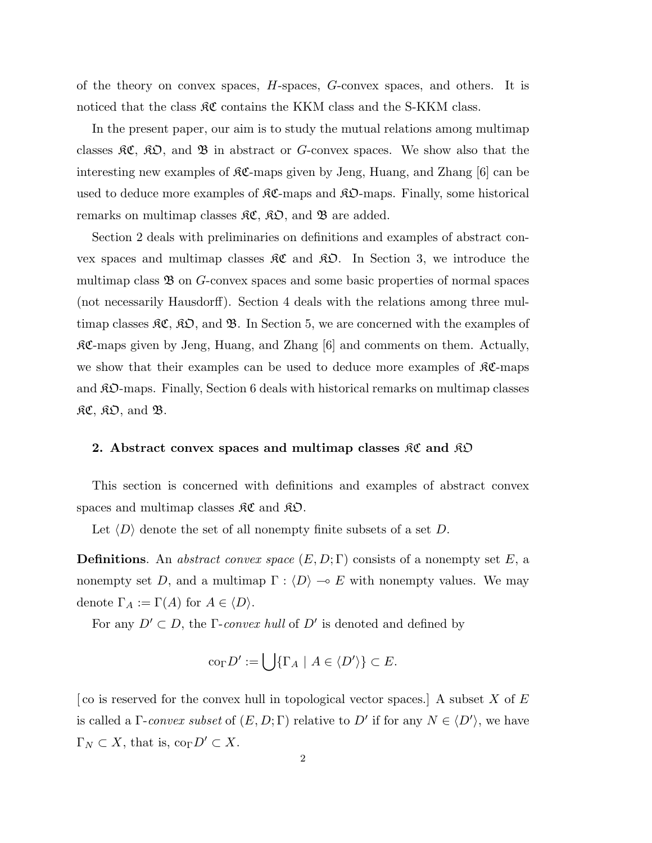of the theory on convex spaces, H-spaces, G-convex spaces, and others. It is noticed that the class  $\mathfrak{K}\mathfrak{C}$  contains the KKM class and the S-KKM class.

In the present paper, our aim is to study the mutual relations among multimap classes  $\mathcal{RC}, \mathcal{RD},$  and  $\mathcal{B}$  in abstract or G-convex spaces. We show also that the interesting new examples of  $\mathcal{RC}$ -maps given by Jeng, Huang, and Zhang [6] can be used to deduce more examples of  $\mathcal{RC}$ -maps and  $\mathcal{RD}$ -maps. Finally, some historical remarks on multimap classes  $\mathfrak{RC}, \mathfrak{RO},$  and  $\mathfrak{B}$  are added.

Section 2 deals with preliminaries on definitions and examples of abstract convex spaces and multimap classes  $\mathcal{RC}$  and  $\mathcal{RD}$ . In Section 3, we introduce the multimap class  $\mathfrak{B}$  on G-convex spaces and some basic properties of normal spaces (not necessarily Hausdorff). Section 4 deals with the relations among three multimap classes  $\mathfrak{K}\mathfrak{C}, \mathfrak{K}\mathfrak{O},$  and  $\mathfrak{B}$ . In Section 5, we are concerned with the examples of  $R\mathfrak{C}$ -maps given by Jeng, Huang, and Zhang [6] and comments on them. Actually, we show that their examples can be used to deduce more examples of  $\mathfrak{K}C$ -maps and KO-maps. Finally, Section 6 deals with historical remarks on multimap classes  $R\mathfrak{C}, \mathfrak{K}\mathfrak{O}, \text{ and } \mathfrak{B}.$ 

# 2. Abstract convex spaces and multimap classes  $\mathcal{RC}$  and  $\mathcal{RD}$

This section is concerned with definitions and examples of abstract convex spaces and multimap classes  $\mathfrak{K}\mathfrak{C}$  and  $\mathfrak{K}\mathfrak{O}$ .

Let  $\langle D \rangle$  denote the set of all nonempty finite subsets of a set D.

**Definitions.** An abstract convex space  $(E, D; \Gamma)$  consists of a nonempty set E, a nonempty set D, and a multimap  $\Gamma : \langle D \rangle \to E$  with nonempty values. We may denote  $\Gamma_A := \Gamma(A)$  for  $A \in \langle D \rangle$ .

For any  $D' \subset D$ , the *Γ-convex hull* of  $D'$  is denoted and defined by

$$
co_{\Gamma} D' := \bigcup \{ \Gamma_A \mid A \in \langle D' \rangle \} \subset E.
$$

[co is reserved for the convex hull in topological vector spaces.] A subset X of  $E$ is called a  $\Gamma$ -convex subset of  $(E, D; \Gamma)$  relative to D' if for any  $N \in \langle D' \rangle$ , we have  $\Gamma_N \subset X$ , that is,  $\text{co}_{\Gamma} D' \subset X$ .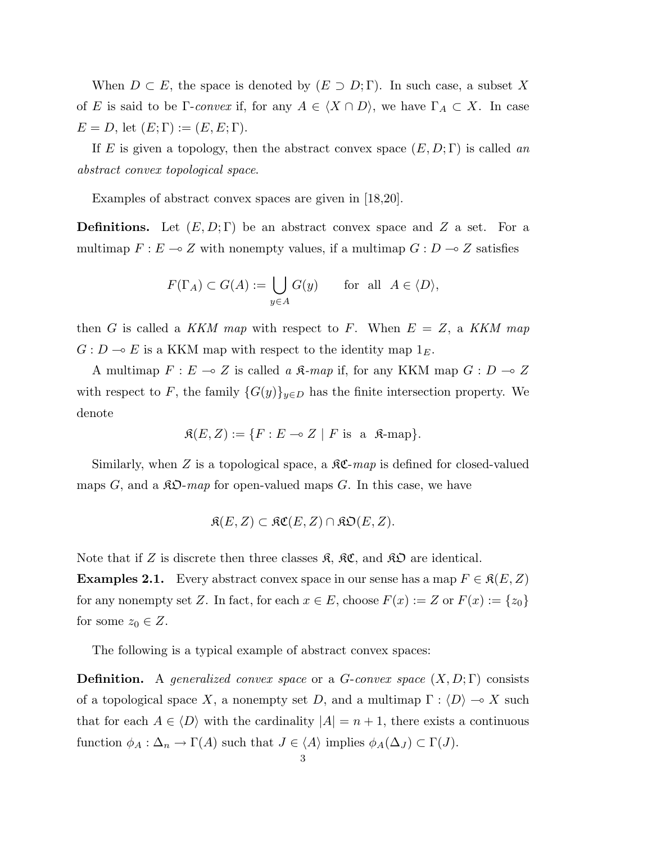When  $D \subset E$ , the space is denoted by  $(E \supset D; \Gamma)$ . In such case, a subset X of E is said to be Γ-convex if, for any  $A \in \langle X \cap D \rangle$ , we have  $\Gamma_A \subset X$ . In case  $E = D$ , let  $(E; \Gamma) := (E, E; \Gamma)$ .

If E is given a topology, then the abstract convex space  $(E, D; \Gamma)$  is called an abstract convex topological space.

Examples of abstract convex spaces are given in [18,20].

**Definitions.** Let  $(E, D; \Gamma)$  be an abstract convex space and Z a set. For a multimap  $F : E \multimap Z$  with nonempty values, if a multimap  $G : D \multimap Z$  satisfies

$$
F(\Gamma_A) \subset G(A) := \bigcup_{y \in A} G(y) \quad \text{for all } A \in \langle D \rangle,
$$

then G is called a KKM map with respect to F. When  $E = Z$ , a KKM map  $G: D \to E$  is a KKM map with respect to the identity map  $1_E$ .

A multimap  $F : E \multimap Z$  is called a  $\mathfrak{K}\text{-}map$  if, for any KKM map  $G : D \multimap Z$ with respect to F, the family  $\{G(y)\}_{y\in D}$  has the finite intersection property. We denote

$$
\mathfrak{K}(E, Z) := \{ F : E \multimap Z \mid F \text{ is a } \mathfrak{K}\text{-map} \}.
$$

Similarly, when Z is a topological space, a  $\mathcal{RC}$ -map is defined for closed-valued maps G, and a  $\mathfrak{K}\mathfrak{O}$ -map for open-valued maps G. In this case, we have

$$
\mathfrak{K}(E,Z) \subset \mathfrak{KC}(E,Z) \cap \mathfrak{KD}(E,Z).
$$

Note that if Z is discrete then three classes  $\mathfrak{K}, \mathfrak{K} \mathfrak{C}$ , and  $\mathfrak{K} \mathfrak{D}$  are identical.

**Examples 2.1.** Every abstract convex space in our sense has a map  $F \in \mathfrak{K}(E, Z)$ for any nonempty set Z. In fact, for each  $x \in E$ , choose  $F(x) := Z$  or  $F(x) := \{z_0\}$ for some  $z_0 \in Z$ .

The following is a typical example of abstract convex spaces:

**Definition.** A generalized convex space or a  $G$ -convex space  $(X, D; \Gamma)$  consists of a topological space X, a nonempty set D, and a multimap  $\Gamma : \langle D \rangle \longrightarrow X$  such that for each  $A \in \langle D \rangle$  with the cardinality  $|A| = n + 1$ , there exists a continuous function  $\phi_A : \Delta_n \to \Gamma(A)$  such that  $J \in \langle A \rangle$  implies  $\phi_A(\Delta_J) \subset \Gamma(J)$ .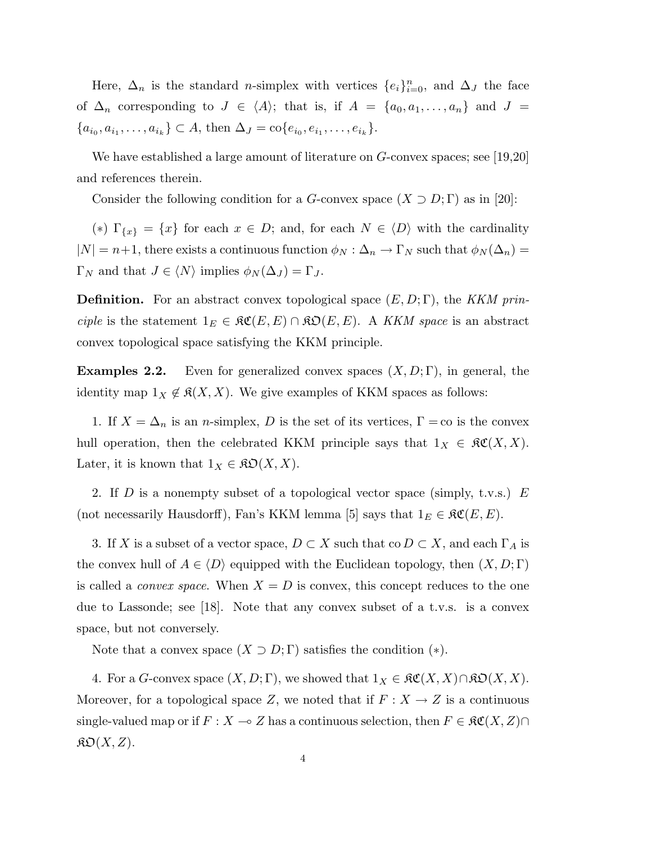Here,  $\Delta_n$  is the standard *n*-simplex with vertices  $\{e_i\}_{i=0}^n$ , and  $\Delta_j$  the face of  $\Delta_n$  corresponding to  $J \in \langle A \rangle$ ; that is, if  $A = \{a_0, a_1, \ldots, a_n\}$  and  $J =$  ${a_{i_0}, a_{i_1}, \ldots, a_{i_k}} \subset A$ , then  $\Delta_J = \text{co}\{e_{i_0}, e_{i_1}, \ldots, e_{i_k}\}.$ 

We have established a large amount of literature on G-convex spaces; see [19,20] and references therein.

Consider the following condition for a G-convex space  $(X \supset D; \Gamma)$  as in [20]:

(\*)  $\Gamma_{\{x\}} = \{x\}$  for each  $x \in D$ ; and, for each  $N \in \langle D \rangle$  with the cardinality  $|N| = n+1$ , there exists a continuous function  $\phi_N : \Delta_n \to \Gamma_N$  such that  $\phi_N(\Delta_n) =$  $\Gamma_N$  and that  $J \in \langle N \rangle$  implies  $\phi_N(\Delta_J) = \Gamma_J$ .

**Definition.** For an abstract convex topological space  $(E, D; \Gamma)$ , the KKM principle is the statement  $1_E \in \mathfrak{RC}(E, E) \cap \mathfrak{RO}(E, E)$ . A KKM space is an abstract convex topological space satisfying the KKM principle.

**Examples 2.2.** Even for generalized convex spaces  $(X, D; \Gamma)$ , in general, the identity map  $1_X \notin \mathfrak{K}(X, X)$ . We give examples of KKM spaces as follows:

1. If  $X = \Delta_n$  is an *n*-simplex, D is the set of its vertices,  $\Gamma = \infty$  is the convex hull operation, then the celebrated KKM principle says that  $1_X \in \mathfrak{RC}(X,X)$ . Later, it is known that  $1_X \in \mathfrak{K} \mathfrak{O}(X,X)$ .

2. If D is a nonempty subset of a topological vector space (simply, t.v.s.)  $E$ (not necessarily Hausdorff), Fan's KKM lemma [5] says that  $1_E \in \mathfrak{RC}(E, E)$ .

3. If X is a subset of a vector space,  $D \subset X$  such that co  $D \subset X$ , and each  $\Gamma_A$  is the convex hull of  $A \in \langle D \rangle$  equipped with the Euclidean topology, then  $(X, D; \Gamma)$ is called a *convex space*. When  $X = D$  is convex, this concept reduces to the one due to Lassonde; see [18]. Note that any convex subset of a t.v.s. is a convex space, but not conversely.

Note that a convex space  $(X \supset D; \Gamma)$  satisfies the condition  $(*)$ .

4. For a G-convex space  $(X, D; \Gamma)$ , we showed that  $1_X \in \mathfrak{RC}(X, X) \cap \mathfrak{RO}(X, X)$ . Moreover, for a topological space Z, we noted that if  $F: X \to Z$  is a continuous single-valued map or if  $F : X \multimap Z$  has a continuous selection, then  $F \in \mathfrak{RC}(X, Z) \cap$  $\mathfrak{K}\mathfrak{O}(X,Z).$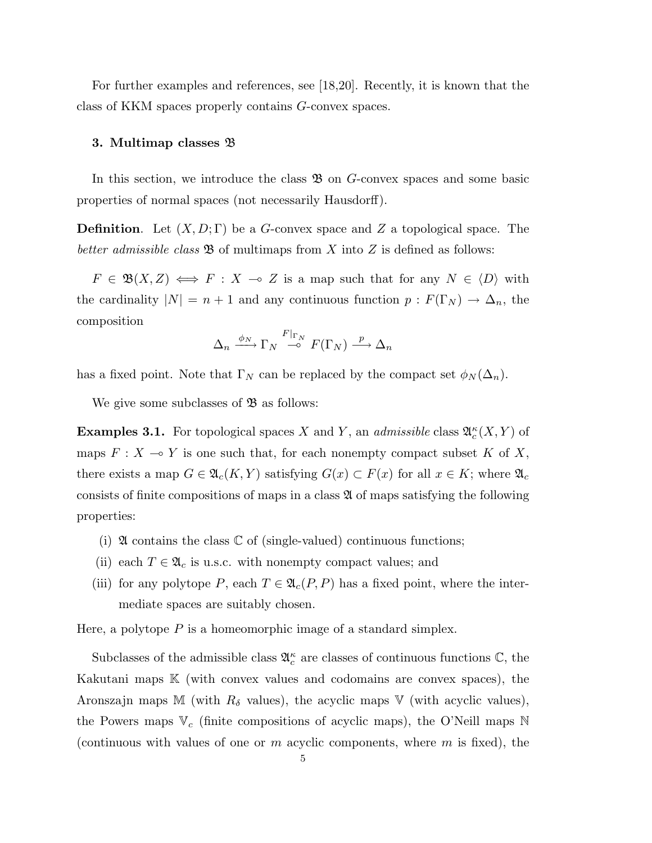For further examples and references, see [18,20]. Recently, it is known that the class of KKM spaces properly contains G-convex spaces.

#### 3. Multimap classes B

In this section, we introduce the class  $\mathfrak{B}$  on G-convex spaces and some basic properties of normal spaces (not necessarily Hausdorff).

**Definition.** Let  $(X, D; \Gamma)$  be a G-convex space and Z a topological space. The better admissible class  $\mathfrak{B}$  of multimaps from X into Z is defined as follows:

 $F \in \mathfrak{B}(X,Z) \iff F : X \multimap Z$  is a map such that for any  $N \in \langle D \rangle$  with the cardinality  $|N| = n + 1$  and any continuous function  $p : F(\Gamma_N) \to \Delta_n$ , the composition

$$
\Delta_n \xrightarrow{\phi_N} \Gamma_N \xrightarrow{F|_{\Gamma_N}} F(\Gamma_N) \xrightarrow{p} \Delta_n
$$

has a fixed point. Note that  $\Gamma_N$  can be replaced by the compact set  $\phi_N(\Delta_n)$ .

We give some subclasses of  $\mathfrak{B}$  as follows:

**Examples 3.1.** For topological spaces X and Y, an *admissible* class  $\mathfrak{A}_{c}^{\kappa}(X, Y)$  of maps  $F : X \longrightarrow Y$  is one such that, for each nonempty compact subset K of X, there exists a map  $G \in \mathfrak{A}_{c}(K,Y)$  satisfying  $G(x) \subset F(x)$  for all  $x \in K$ ; where  $\mathfrak{A}_{c}$ consists of finite compositions of maps in a class  $\mathfrak A$  of maps satisfying the following properties:

- (i)  $\mathfrak A$  contains the class  $\mathbb C$  of (single-valued) continuous functions;
- (ii) each  $T \in \mathfrak{A}_c$  is u.s.c. with nonempty compact values; and
- (iii) for any polytope P, each  $T \in \mathfrak{A}_c(P, P)$  has a fixed point, where the intermediate spaces are suitably chosen.

Here, a polytope  $P$  is a homeomorphic image of a standard simplex.

Subclasses of the admissible class  $\mathfrak{A}^{\kappa}_{c}$  are classes of continuous functions  $\mathbb{C}$ , the Kakutani maps K (with convex values and codomains are convex spaces), the Aronszajn maps M (with  $R_{\delta}$  values), the acyclic maps V (with acyclic values), the Powers maps  $V_c$  (finite compositions of acyclic maps), the O'Neill maps N (continuous with values of one or  $m$  acyclic components, where  $m$  is fixed), the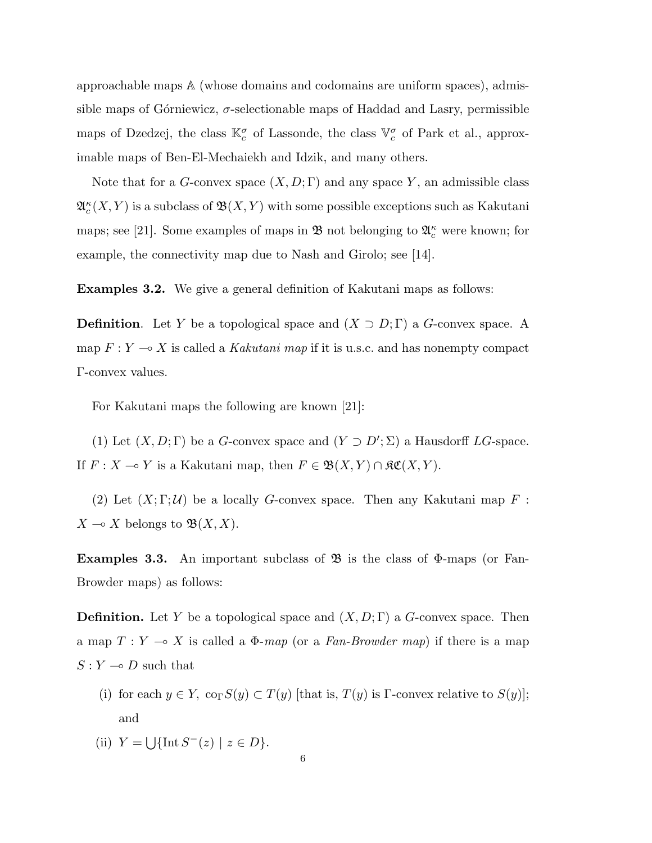approachable maps A (whose domains and codomains are uniform spaces), admissible maps of Górniewicz,  $\sigma$ -selectionable maps of Haddad and Lasry, permissible maps of Dzedzej, the class  $\mathbb{K}_{c}^{\sigma}$  of Lassonde, the class  $\mathbb{V}_{c}^{\sigma}$  of Park et al., approximable maps of Ben-El-Mechaiekh and Idzik, and many others.

Note that for a G-convex space  $(X, D; \Gamma)$  and any space Y, an admissible class  $\mathfrak{A}^\kappa_c(X,Y)$  is a subclass of  $\mathfrak{B}(X,Y)$  with some possible exceptions such as Kakutani maps; see [21]. Some examples of maps in  $\mathfrak{B}$  not belonging to  $\mathfrak{A}_{c}^{\kappa}$  were known; for example, the connectivity map due to Nash and Girolo; see [14].

Examples 3.2. We give a general definition of Kakutani maps as follows:

**Definition.** Let Y be a topological space and  $(X \supset D; \Gamma)$  a G-convex space. A map  $F: Y \longrightarrow X$  is called a Kakutani map if it is u.s.c. and has nonempty compact Γ-convex values.

For Kakutani maps the following are known [21]:

(1) Let  $(X, D; \Gamma)$  be a G-convex space and  $(Y \supset D'; \Sigma)$  a Hausdorff LG-space. If  $F : X \to Y$  is a Kakutani map, then  $F \in \mathfrak{B}(X, Y) \cap \mathfrak{K}\mathfrak{C}(X, Y)$ .

(2) Let  $(X;\Gamma;\mathcal{U})$  be a locally G-convex space. Then any Kakutani map F:  $X \multimap X$  belongs to  $\mathfrak{B}(X, X)$ .

**Examples 3.3.** An important subclass of  $\mathfrak{B}$  is the class of  $\Phi$ -maps (or Fan-Browder maps) as follows:

**Definition.** Let Y be a topological space and  $(X, D; \Gamma)$  a G-convex space. Then a map  $T : Y \longrightarrow X$  is called a  $\Phi$ -map (or a Fan-Browder map) if there is a map  $S:Y \multimap D$  such that

- (i) for each  $y \in Y$ ,  $\text{co}_{\Gamma}S(y) \subset T(y)$  [that is,  $T(y)$  is Γ-convex relative to  $S(y)$ ]; and
- $(ii)$   $Y =$ S  $\{\text{Int}\,S^{-}(z)\mid z\in D\}.$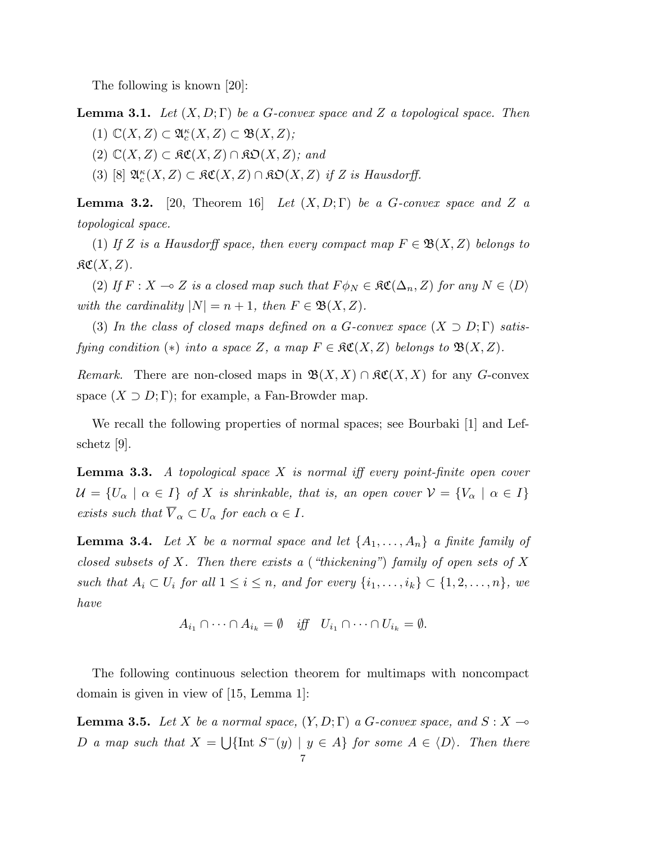The following is known [20]:

**Lemma 3.1.** Let  $(X, D; \Gamma)$  be a G-convex space and Z a topological space. Then (1)  $\mathbb{C}(X,Z) \subset \mathfrak{A}^{\kappa}_c(X,Z) \subset \mathfrak{B}(X,Z);$ 

- 
- $(2)$   $\mathbb{C}(X,Z)$  ⊂  $\mathfrak{RC}(X,Z)$  ∩  $\mathfrak{RO}(X,Z)$ ; and
- (3) [8]  $\mathfrak{A}_{c}^{\kappa}(X,Z) \subset \mathfrak{K}\mathfrak{C}(X,Z) \cap \mathfrak{K}\mathfrak{O}(X,Z)$  if Z is Hausdorff.

**Lemma 3.2.** [20, Theorem 16] Let  $(X, D; \Gamma)$  be a G-convex space and Z a topological space.

(1) If Z is a Hausdorff space, then every compact map  $F \in \mathfrak{B}(X,Z)$  belongs to  $\mathfrak{RC}(X,Z).$ 

(2) If  $F : X \to Z$  is a closed map such that  $F \phi_N \in \mathfrak{RC}(\Delta_n, Z)$  for any  $N \in \langle D \rangle$ with the cardinality  $|N| = n + 1$ , then  $F \in \mathfrak{B}(X, Z)$ .

(3) In the class of closed maps defined on a G-convex space  $(X \supset D; \Gamma)$  satisfying condition (\*) into a space Z, a map  $F \in \mathfrak{RC}(X,Z)$  belongs to  $\mathfrak{B}(X,Z)$ .

Remark. There are non-closed maps in  $\mathfrak{B}(X,X) \cap \mathfrak{K}(X,X)$  for any G-convex space  $(X \supset D; \Gamma)$ ; for example, a Fan-Browder map.

We recall the following properties of normal spaces; see Bourbaki [1] and Lefschetz [9].

**Lemma 3.3.** A topological space  $X$  is normal iff every point-finite open cover  $\mathcal{U} = \{U_{\alpha} \mid \alpha \in I\}$  of X is shrinkable, that is, an open cover  $\mathcal{V} = \{V_{\alpha} \mid \alpha \in I\}$ exists such that  $\overline{V}_{\alpha} \subset U_{\alpha}$  for each  $\alpha \in I$ .

**Lemma 3.4.** Let X be a normal space and let  $\{A_1, \ldots, A_n\}$  a finite family of closed subsets of X. Then there exists a ("thickening") family of open sets of X such that  $A_i \subset U_i$  for all  $1 \leq i \leq n$ , and for every  $\{i_1, \ldots, i_k\} \subset \{1, 2, \ldots, n\}$ , we have

$$
A_{i_1} \cap \cdots \cap A_{i_k} = \emptyset \quad \text{iff} \quad U_{i_1} \cap \cdots \cap U_{i_k} = \emptyset.
$$

The following continuous selection theorem for multimaps with noncompact domain is given in view of [15, Lemma 1]:

**Lemma 3.5.** Let X be a normal space,  $(Y, D; \Gamma)$  a G-convex space, and  $S: X \rightarrow$  $D$  a map such that  $X =$ S {Int  $S^-(y) | y \in A$ } for some  $A \in \langle D \rangle$ . Then there 7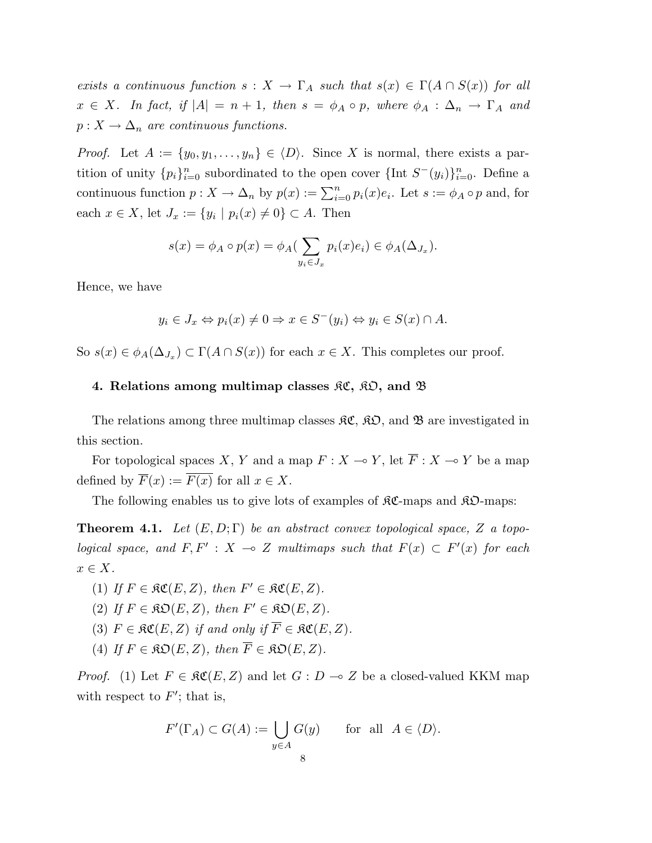exists a continuous function  $s: X \to \Gamma_A$  such that  $s(x) \in \Gamma(A \cap S(x))$  for all  $x \in X$ . In fact, if  $|A| = n + 1$ , then  $s = \phi_A \circ p$ , where  $\phi_A : \Delta_n \to \Gamma_A$  and  $p: X \to \Delta_n$  are continuous functions.

*Proof.* Let  $A := \{y_0, y_1, \ldots, y_n\} \in \langle D \rangle$ . Since X is normal, there exists a partition of unity  ${p_i}_{i=0}^n$  subordinated to the open cover  ${\{\text{Int } S^-(y_i)\}}_{i=0}^n$ . Define a continuous function  $p: X \to \Delta_n$  by  $p(x) := \sum_{i=0}^n p_i(x)e_i$ . Let  $s := \phi_A \circ p$  and, for each  $x \in X$ , let  $J_x := \{y_i \mid p_i(x) \neq 0\} \subset A$ . Then

$$
s(x) = \phi_A \circ p(x) = \phi_A(\sum_{y_i \in J_x} p_i(x)e_i) \in \phi_A(\Delta_{J_x}).
$$

Hence, we have

$$
y_i \in J_x \Leftrightarrow p_i(x) \neq 0 \Rightarrow x \in S^-(y_i) \Leftrightarrow y_i \in S(x) \cap A.
$$

So  $s(x) \in \phi_A(\Delta_{J_x}) \subset \Gamma(A \cap S(x))$  for each  $x \in X$ . This completes our proof.

# 4. Relations among multimap classes  $\mathfrak{RC}, \mathfrak{RO},$  and  $\mathfrak{B}$

The relations among three multimap classes  $\mathfrak{RC}, \mathfrak{RO},$  and  $\mathfrak{B}$  are investigated in this section.

For topological spaces X, Y and a map  $F : X \to Y$ , let  $\overline{F} : X \to Y$  be a map defined by  $\overline{F}(x) := \overline{F(x)}$  for all  $x \in X$ .

The following enables us to give lots of examples of  $\mathcal{RC}\text{-maps}$  and  $\mathcal{RD}\text{-maps}$ :

**Theorem 4.1.** Let  $(E, D; \Gamma)$  be an abstract convex topological space, Z a topological space, and  $F, F' : X \to Z$  multimaps such that  $F(x) \subset F'(x)$  for each  $x \in X$ .

- (1) If  $F \in \mathfrak{RC}(E, Z)$ , then  $F' \in \mathfrak{RC}(E, Z)$ .
- (2) If  $F \in \mathfrak{RO}(E, Z)$ , then  $F' \in \mathfrak{RO}(E, Z)$ .
- (3)  $F \in \mathfrak{RC}(E, Z)$  if and only if  $\overline{F} \in \mathfrak{RC}(E, Z)$ .
- (4) If  $F \in \mathcal{R}\mathcal{D}(E, Z)$ , then  $\overline{F} \in \mathcal{R}\mathcal{D}(E, Z)$ .

*Proof.* (1) Let  $F \in \mathfrak{RC}(E, Z)$  and let  $G : D \to Z$  be a closed-valued KKM map with respect to  $F'$ ; that is,

$$
F'(\Gamma_A) \subset G(A) := \bigcup_{y \in A} G(y) \quad \text{for all } A \in \langle D \rangle.
$$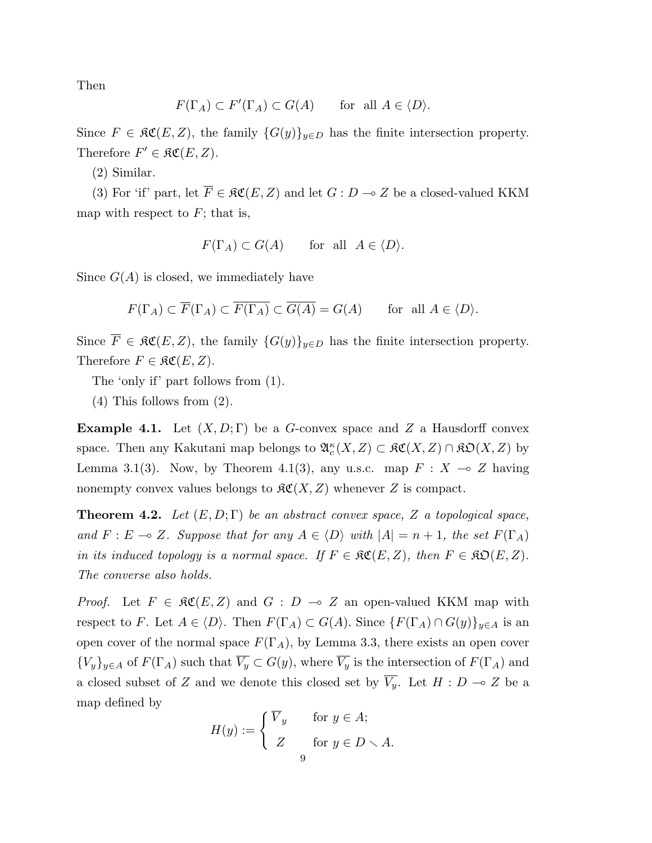Then

$$
F(\Gamma_A) \subset F'(\Gamma_A) \subset G(A) \quad \text{for all } A \in \langle D \rangle.
$$

Since  $F \in \mathfrak{RC}(E, Z)$ , the family  $\{G(y)\}_{y \in D}$  has the finite intersection property. Therefore  $F' \in \mathfrak{RC}(E, Z)$ .

(2) Similar.

(3) For 'if' part, let  $\overline{F} \in \mathfrak{RC}(E, Z)$  and let  $G : D \to Z$  be a closed-valued KKM map with respect to  $F$ ; that is,

$$
F(\Gamma_A) \subset G(A)
$$
 for all  $A \in \langle D \rangle$ .

Since  $G(A)$  is closed, we immediately have

$$
F(\Gamma_A) \subset \overline{F}(\Gamma_A) \subset \overline{F(\Gamma_A)} \subset \overline{G(A)} = G(A) \quad \text{for all } A \in \langle D \rangle.
$$

Since  $\overline{F} \in \mathfrak{RC}(E, Z)$ , the family  $\{G(y)\}_{y \in D}$  has the finite intersection property. Therefore  $F \in \mathfrak{RC}(E, Z)$ .

The 'only if' part follows from (1).

(4) This follows from (2).

**Example 4.1.** Let  $(X, D; \Gamma)$  be a G-convex space and Z a Hausdorff convex space. Then any Kakutani map belongs to  $\mathfrak{A}_{c}^{\kappa}(X, Z) \subset \mathfrak{K}\mathfrak{C}(X, Z) \cap \mathfrak{K}\mathfrak{O}(X, Z)$  by Lemma 3.1(3). Now, by Theorem 4.1(3), any u.s.c. map  $F : X \to Z$  having nonempty convex values belongs to  $\mathcal{RC}(X, Z)$  whenever Z is compact.

**Theorem 4.2.** Let  $(E, D; \Gamma)$  be an abstract convex space, Z a topological space, and  $F : E \multimap Z$ . Suppose that for any  $A \in \langle D \rangle$  with  $|A| = n + 1$ , the set  $F(\Gamma_A)$ in its induced topology is a normal space. If  $F \in \mathcal{RC}(E, Z)$ , then  $F \in \mathcal{RD}(E, Z)$ . The converse also holds.

*Proof.* Let  $F \in \mathfrak{RC}(E, Z)$  and  $G : D \multimap Z$  an open-valued KKM map with respect to F. Let  $A \in \langle D \rangle$ . Then  $F(\Gamma_A) \subset G(A)$ . Since  $\{F(\Gamma_A) \cap G(y)\}_{y \in A}$  is an open cover of the normal space  $F(\Gamma_A)$ , by Lemma 3.3, there exists an open cover  ${V_y}_{y\in A}$  of  $F(\Gamma_A)$  such that  $\overline{V_y} \subset G(y)$ , where  $\overline{V_y}$  is the intersection of  $F(\Gamma_A)$  and a closed subset of Z and we denote this closed set by  $\overline{V_y}$ . Let  $H : D \multimap Z$  be a map defined by

$$
H(y) := \begin{cases} \overline{V}_y & \text{for } y \in A; \\ Z & \text{for } y \in D \setminus A. \\ 9 & \end{cases}
$$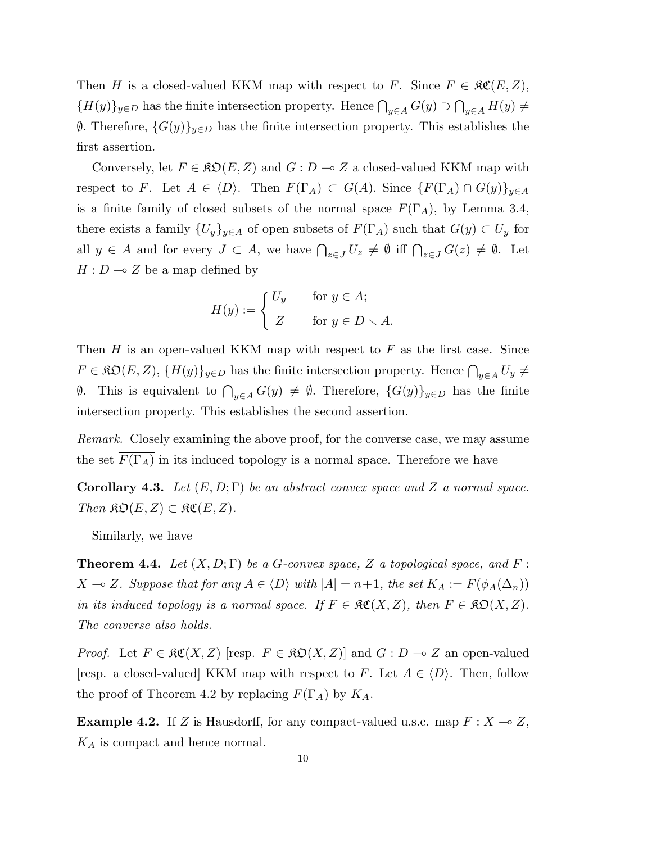Then H is a closed-valued KKM map with respect to F. Since  $F \in \mathfrak{RC}(E, Z)$ ,  ${H(y)}_{y\in D}$  has the finite intersection property. Hence  $\bigcap_{y\in A} G(y)$  $\overline{a}$  $y\in A$   $H(y) \neq$  $θ$ . Therefore,  $\{G(y)\}_{y\in D}$  has the finite intersection property. This establishes the first assertion.

Conversely, let  $F \in \mathfrak{RO}(E, Z)$  and  $G : D \to Z$  a closed-valued KKM map with respect to F. Let  $A \in \langle D \rangle$ . Then  $F(\Gamma_A) \subset G(A)$ . Since  $\{F(\Gamma_A) \cap G(y)\}_{y \in A}$ is a finite family of closed subsets of the normal space  $F(\Gamma_A)$ , by Lemma 3.4, there exists a family  ${U_y}_{y\in A}$  of open subsets of  $F(\Gamma_A)$  such that  $G(y) \subset U_y$  for all  $y \in A$  and for every  $J \subset A$ , we have  $\bigcap_{z \in J} U_z \neq \emptyset$  iff  $\bigcap_{z \in J} G(z) \neq \emptyset$ . Let  $H : D \longrightarrow Z$  be a map defined by

$$
H(y) := \begin{cases} U_y & \text{for } y \in A; \\ Z & \text{for } y \in D \setminus A. \end{cases}
$$

Then  $H$  is an open-valued KKM map with respect to  $F$  as the first case. Since  $F \in \mathfrak{RO}(E, Z), \{H(y)\}_{y \in D}$  has the finite intersection property. Hence  $\bigcap_{y \in A} U_y \neq$  $\emptyset$ . This is equivalent to  $\bigcap_{y\in A} G(y) \neq \emptyset$ . Therefore,  $\{G(y)\}_{y\in D}$  has the finite intersection property. This establishes the second assertion.

Remark. Closely examining the above proof, for the converse case, we may assume the set  $\overline{F(\Gamma_A)}$  in its induced topology is a normal space. Therefore we have

Corollary 4.3. Let  $(E, D; \Gamma)$  be an abstract convex space and Z a normal space. Then  $\mathfrak{SO}(E,Z) \subset \mathfrak{RC}(E,Z)$ .

Similarly, we have

**Theorem 4.4.** Let  $(X, D; \Gamma)$  be a G-convex space, Z a topological space, and F:  $X \multimap Z$ . Suppose that for any  $A \in \langle D \rangle$  with  $|A| = n+1$ , the set  $K_A := F(\phi_A(\Delta_n))$ in its induced topology is a normal space. If  $F \in \mathfrak{RC}(X,Z)$ , then  $F \in \mathfrak{RD}(X,Z)$ . The converse also holds.

*Proof.* Let  $F \in \mathfrak{RC}(X, Z)$  [resp.  $F \in \mathfrak{RO}(X, Z)$ ] and  $G : D \to Z$  an open-valued [resp. a closed-valued] KKM map with respect to F. Let  $A \in \langle D \rangle$ . Then, follow the proof of Theorem 4.2 by replacing  $F(\Gamma_A)$  by  $K_A$ .

**Example 4.2.** If Z is Hausdorff, for any compact-valued u.s.c. map  $F : X \to Z$ ,  $K_A$  is compact and hence normal.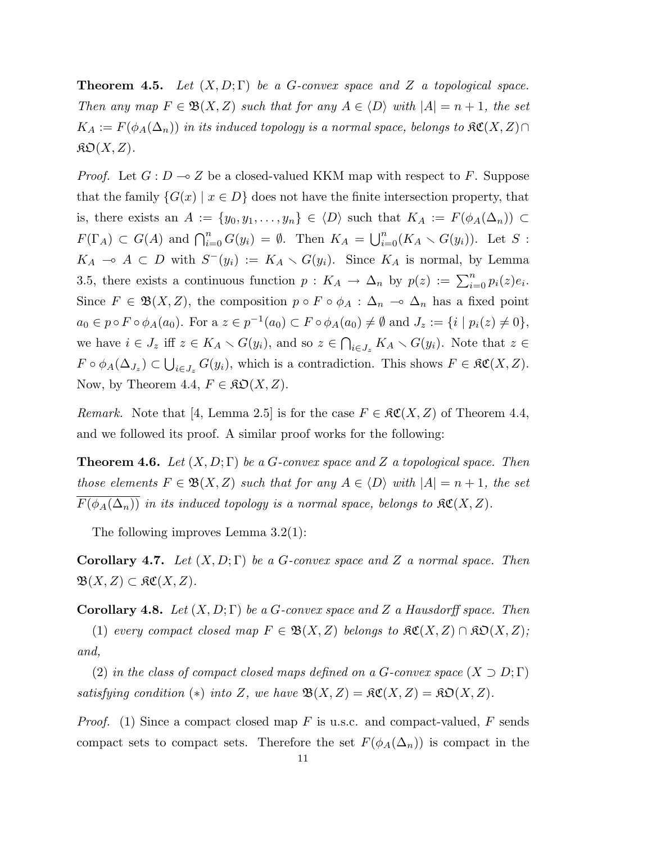**Theorem 4.5.** Let  $(X, D; \Gamma)$  be a G-convex space and Z a topological space. Then any map  $F \in \mathfrak{B}(X,Z)$  such that for any  $A \in \langle D \rangle$  with  $|A| = n + 1$ , the set  $K_A := F(\phi_A(\Delta_n))$  in its induced topology is a normal space, belongs to  $\mathfrak{KC}(X,Z) \cap$  $\mathfrak{K} \mathfrak{O}(X,Z).$ 

*Proof.* Let  $G: D \to Z$  be a closed-valued KKM map with respect to F. Suppose that the family  $\{G(x) \mid x \in D\}$  does not have the finite intersection property, that is, there exists an  $A := \{y_0, y_1, \ldots, y_n\} \in \langle D \rangle$  such that  $K_A := F(\phi_A(\Delta_n)) \subset$  $F(\Gamma_A) \subset G(A)$  and  $\bigcap_{i=0}^n G(y_i) = \emptyset$ . Then  $K_A =$  $n$  $\binom{n}{i=0}(K_A\smallsetminus G(y_i)).$  Let  $S$  :  $K_A \multimap A \subset D$  with  $S^-(y_i) := K_A \setminus G(y_i)$ . Since  $K_A$  is normal, by Lemma 3.5, there exists a continuous function  $p: K_A \to \Delta_n$  by  $p(z) := \sum_{i=0}^n p_i(z)e_i$ . Since  $F \in \mathfrak{B}(X,Z)$ , the composition  $p \circ F \circ \phi_A : \Delta_n \to \Delta_n$  has a fixed point  $a_0 \in p \circ F \circ \phi_A(a_0)$ . For a  $z \in p^{-1}(a_0) \subset F \circ \phi_A(a_0) \neq \emptyset$  and  $J_z := \{i \mid p_i(z) \neq 0\},$ we have  $i \in J_z$  iff  $z \in K_A \setminus G(y_i)$ , and so  $z \in$  $\overline{a}$  $_{i\in J_z} K_A \setminus G(y_i)$ . Note that  $z \in$  $F\circ \phi_A(\Delta_{J_z})\subset$ S  $i\in J_z$   $G(y_i)$ , which is a contradiction. This shows  $F \in \mathfrak{RC}(X,Z)$ . Now, by Theorem 4.4,  $F \in \mathcal{R}\mathcal{D}(X,Z)$ .

*Remark.* Note that [4, Lemma 2.5] is for the case  $F \in \mathcal{RC}(X, Z)$  of Theorem 4.4, and we followed its proof. A similar proof works for the following:

**Theorem 4.6.** Let  $(X, D; \Gamma)$  be a G-convex space and Z a topological space. Then those elements  $F \in \mathfrak{B}(X,Z)$  such that for any  $A \in \langle D \rangle$  with  $|A| = n + 1$ , the set  $\overline{F(\phi_A(\Delta_n))}$  in its induced topology is a normal space, belongs to  $\mathfrak{RC}(X,Z)$ .

The following improves Lemma 3.2(1):

**Corollary 4.7.** Let  $(X, D; \Gamma)$  be a G-convex space and Z a normal space. Then  $\mathfrak{B}(X,Z) \subset \mathfrak{K}\mathfrak{C}(X,Z).$ 

**Corollary 4.8.** Let  $(X, D; \Gamma)$  be a G-convex space and Z a Hausdorff space. Then

(1) every compact closed map  $F \in \mathfrak{B}(X,Z)$  belongs to  $\mathfrak{RC}(X,Z) \cap \mathfrak{KD}(X,Z);$ and,

(2) in the class of compact closed maps defined on a G-convex space  $(X \supset D; \Gamma)$ satisfying condition (\*) into Z, we have  $\mathfrak{B}(X,Z) = \mathfrak{K}\mathfrak{C}(X,Z) = \mathfrak{K}\mathfrak{O}(X,Z)$ .

*Proof.* (1) Since a compact closed map F is u.s.c. and compact-valued, F sends compact sets to compact sets. Therefore the set  $F(\phi_A(\Delta_n))$  is compact in the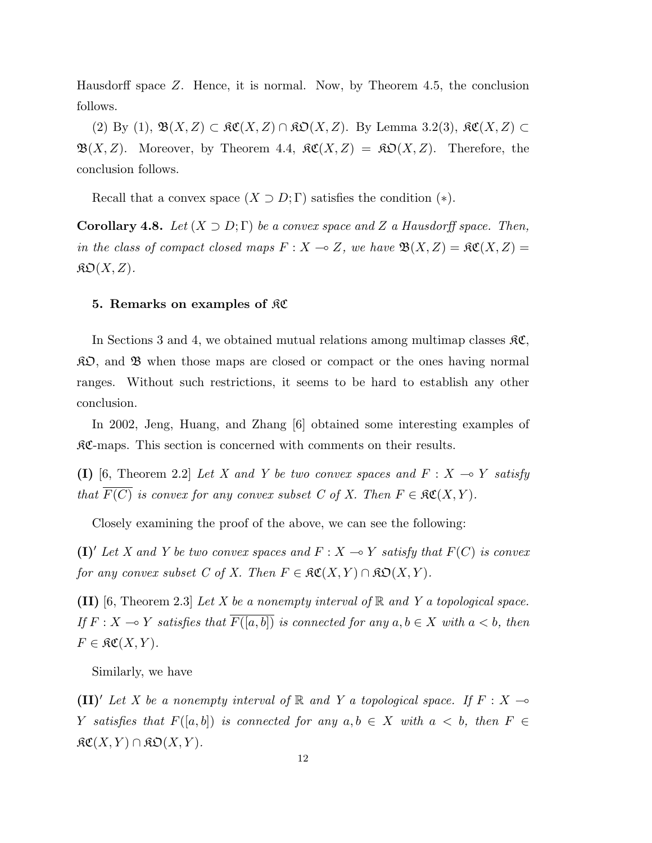Hausdorff space Z. Hence, it is normal. Now, by Theorem 4.5, the conclusion follows.

(2) By (1),  $\mathfrak{B}(X,Z) \subset \mathfrak{K}\mathfrak{C}(X,Z) \cap \mathfrak{K}\mathfrak{O}(X,Z)$ . By Lemma 3.2(3),  $\mathfrak{K}\mathfrak{C}(X,Z) \subset$  $\mathfrak{B}(X,Z)$ . Moreover, by Theorem 4.4,  $\mathfrak{RC}(X,Z) = \mathfrak{RO}(X,Z)$ . Therefore, the conclusion follows.

Recall that a convex space  $(X \supset D; \Gamma)$  satisfies the condition  $(*)$ .

**Corollary 4.8.** Let  $(X \supset D; \Gamma)$  be a convex space and Z a Hausdorff space. Then, in the class of compact closed maps  $F : X \to Z$ , we have  $\mathfrak{B}(X, Z) = \mathfrak{K}\mathfrak{C}(X, Z) =$  $\mathfrak{K}\mathfrak{O}(X,Z).$ 

## 5. Remarks on examples of KC

In Sections 3 and 4, we obtained mutual relations among multimap classes  $\mathcal{RC}$ ,  $\mathcal{R}D$ , and  $\mathcal{B}$  when those maps are closed or compact or the ones having normal ranges. Without such restrictions, it seems to be hard to establish any other conclusion.

In 2002, Jeng, Huang, and Zhang [6] obtained some interesting examples of KC-maps. This section is concerned with comments on their results.

(I) [6, Theorem 2.2] Let X and Y be two convex spaces and  $F : X \multimap Y$  satisfy that  $\overline{F(C)}$  is convex for any convex subset C of X. Then  $F \in \mathfrak{RC}(X,Y)$ .

Closely examining the proof of the above, we can see the following:

(I)' Let X and Y be two convex spaces and  $F : X \to Y$  satisfy that  $F(C)$  is convex for any convex subset C of X. Then  $F \in \mathfrak{RC}(X,Y) \cap \mathfrak{KD}(X,Y)$ .

**(II)** [6, Theorem 2.3] Let X be a nonempty interval of  $\mathbb{R}$  and Y a topological space. If  $F : X \to Y$  satisfies that  $\overline{F([a, b])}$  is connected for any  $a, b \in X$  with  $a < b$ , then  $F \in \mathfrak{RC}(X,Y).$ 

Similarly, we have

(II)' Let X be a nonempty interval of R and Y a topological space. If  $F : X \longrightarrow$ Y satisfies that  $F([a, b])$  is connected for any  $a, b \in X$  with  $a < b$ , then  $F \in$  $\mathfrak{RC}(X,Y)\cap \mathfrak{KO}(X,Y).$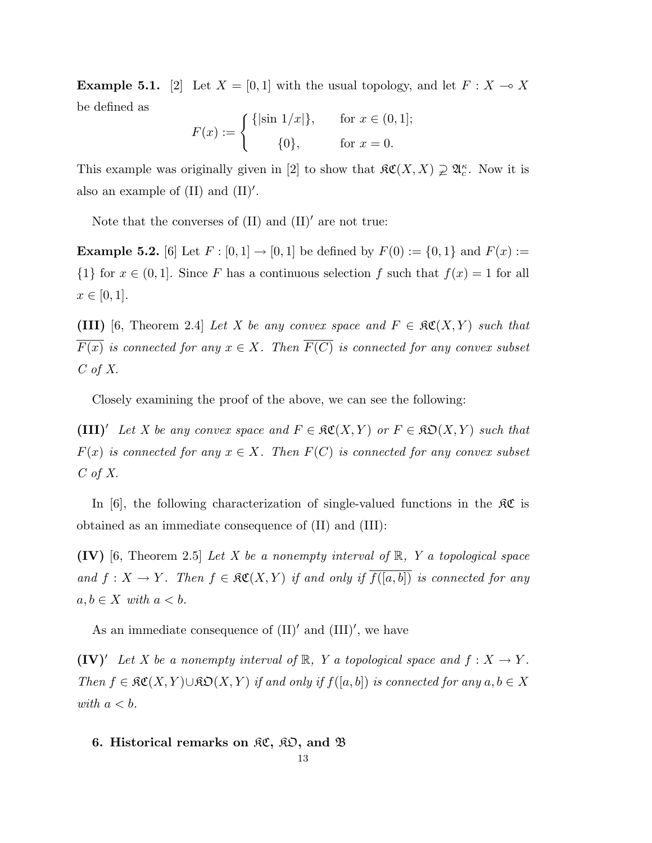**Example 5.1.** [2] Let  $X = [0, 1]$  with the usual topology, and let  $F : X \to X$ be defined as

$$
F(x) := \begin{cases} \{|\sin 1/x|\}, & \text{for } x \in (0,1]; \\ 0, & \text{for } x = 0. \end{cases}
$$

This example was originally given in [2] to show that  $\mathfrak{RC}(X,X) \supsetneq \mathfrak{A}_{c}^{\kappa}$ . Now it is also an example of  $(II)$  and  $(II)'$ .

Note that the converses of  $(II)$  and  $(II)'$  are not true:

**Example 5.2.** [6] Let  $F : [0, 1] \to [0, 1]$  be defined by  $F(0) := \{0, 1\}$  and  $F(x) :=$  $\{1\}$  for  $x \in (0,1]$ . Since F has a continuous selection f such that  $f(x) = 1$  for all  $x \in [0, 1].$ 

(III) [6, Theorem 2.4] Let X be any convex space and  $F \in \mathfrak{RC}(X,Y)$  such that  $\overline{F(x)}$  is connected for any  $x \in X$ . Then  $\overline{F(C)}$  is connected for any convex subset  $C$  of  $X$ .

Closely examining the proof of the above, we can see the following:

(III)<sup> $\iota$ </sup> Let X be any convex space and  $F \in \mathfrak{RC}(X, Y)$  or  $F \in \mathfrak{RD}(X, Y)$  such that  $F(x)$  is connected for any  $x \in X$ . Then  $F(C)$  is connected for any convex subset  $C$  of  $X$ .

In [6], the following characterization of single-valued functions in the  $\mathcal{RC}$  is obtained as an immediate consequence of (II) and (III):

**(IV)** [6, Theorem 2.5] Let X be a nonempty interval of  $\mathbb{R}$ , Y a topological space and  $f: X \to Y$ . Then  $f \in \mathfrak{RC}(X, Y)$  if and only if  $\overline{f([a, b])}$  is connected for any  $a, b \in X$  with  $a < b$ .

As an immediate consequence of  $(II)'$  and  $(III)'$ , we have

 $(IV)'$  Let X be a nonempty interval of R, Y a topological space and  $f : X \to Y$ . Then  $f \in \mathfrak{RC}(X,Y) \cup \mathfrak{RO}(X,Y)$  if and only if  $f([a,b])$  is connected for any  $a, b \in X$ with  $a < b$ .

## 6. Historical remarks on  $\mathfrak{RC}, \mathfrak{RD},$  and  $\mathfrak B$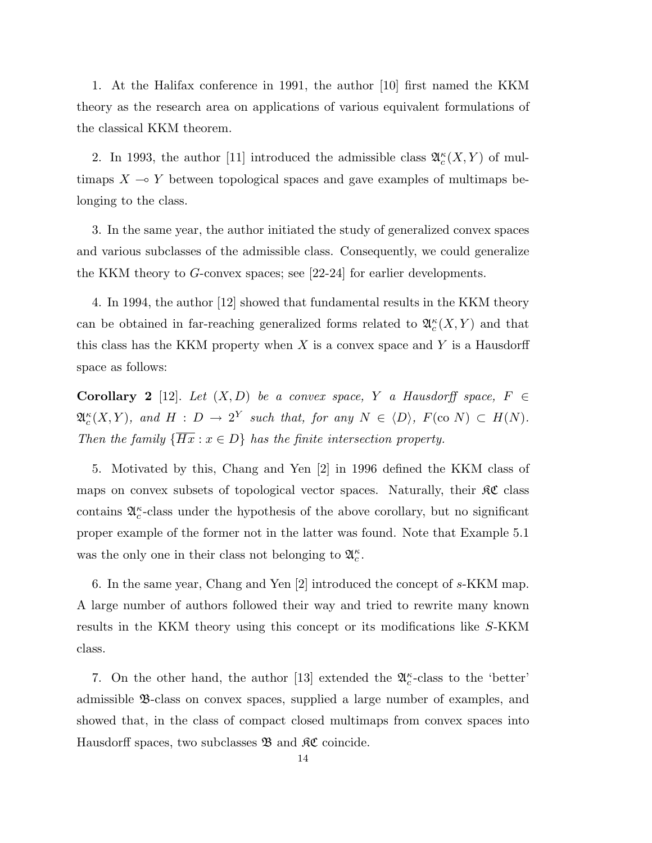1. At the Halifax conference in 1991, the author [10] first named the KKM theory as the research area on applications of various equivalent formulations of the classical KKM theorem.

2. In 1993, the author [11] introduced the admissible class  $\mathfrak{A}_{c}^{\kappa}(X,Y)$  of multimaps  $X \to Y$  between topological spaces and gave examples of multimaps belonging to the class.

3. In the same year, the author initiated the study of generalized convex spaces and various subclasses of the admissible class. Consequently, we could generalize the KKM theory to G-convex spaces; see [22-24] for earlier developments.

4. In 1994, the author [12] showed that fundamental results in the KKM theory can be obtained in far-reaching generalized forms related to  $\mathfrak{A}_{c}^{\kappa}(X,Y)$  and that this class has the KKM property when  $X$  is a convex space and  $Y$  is a Hausdorff space as follows:

**Corollary 2** [12]. Let  $(X, D)$  be a convex space, Y a Hausdorff space, F  $\in$  $\mathfrak{A}_{c}^{\kappa}(X,Y)$ , and  $H: D \to 2^{Y}$  such that, for any  $N \in \langle D \rangle$ ,  $F(\text{co } N) \subset H(N)$ . Then the family  $\{\overline{Hx} : x \in D\}$  has the finite intersection property.

5. Motivated by this, Chang and Yen [2] in 1996 defined the KKM class of maps on convex subsets of topological vector spaces. Naturally, their  $\mathcal{RC}$  class contains  $\mathfrak{A}_c^{\kappa}$ -class under the hypothesis of the above corollary, but no significant proper example of the former not in the latter was found. Note that Example 5.1 was the only one in their class not belonging to  $\mathfrak{A}^{\kappa}_c$ .

6. In the same year, Chang and Yen [2] introduced the concept of s-KKM map. A large number of authors followed their way and tried to rewrite many known results in the KKM theory using this concept or its modifications like S-KKM class.

7. On the other hand, the author [13] extended the  $\mathfrak{A}_{c}^{\kappa}$ -class to the 'better' admissible B-class on convex spaces, supplied a large number of examples, and showed that, in the class of compact closed multimaps from convex spaces into Hausdorff spaces, two subclasses  $\mathfrak{B}$  and  $\mathfrak{K}\mathfrak{C}$  coincide.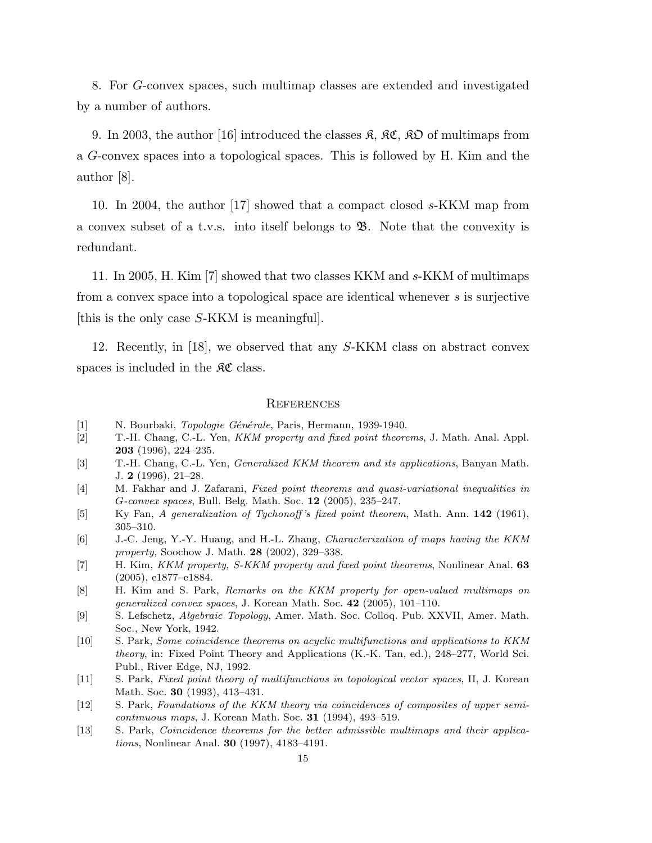8. For G-convex spaces, such multimap classes are extended and investigated by a number of authors.

9. In 2003, the author [16] introduced the classes  $\mathfrak{K}, \mathfrak{K} \mathfrak{C}, \mathfrak{K} \mathfrak{O}$  of multimaps from a G-convex spaces into a topological spaces. This is followed by H. Kim and the author [8].

10. In 2004, the author [17] showed that a compact closed s-KKM map from a convex subset of a t.v.s. into itself belongs to  $\mathfrak{B}$ . Note that the convexity is redundant.

11. In 2005, H. Kim [7] showed that two classes KKM and s-KKM of multimaps from a convex space into a topological space are identical whenever s is surjective [this is the only case S-KKM is meaningful].

12. Recently, in [18], we observed that any S-KKM class on abstract convex spaces is included in the  $\mathcal{RC}$  class.

#### **REFERENCES**

- [1] N. Bourbaki, *Topologie Générale*, Paris, Hermann, 1939-1940.
- [2] T.-H. Chang, C.-L. Yen, KKM property and fixed point theorems, J. Math. Anal. Appl. 203 (1996), 224–235.
- [3] T.-H. Chang, C.-L. Yen, Generalized KKM theorem and its applications, Banyan Math. J. 2 (1996), 21–28.
- [4] M. Fakhar and J. Zafarani, Fixed point theorems and quasi-variational inequalities in G-convex spaces, Bull. Belg. Math. Soc. 12 (2005), 235–247.
- [5] Ky Fan, A generalization of Tychonoff's fixed point theorem, Math. Ann. 142 (1961), 305–310.
- [6] J.-C. Jeng, Y.-Y. Huang, and H.-L. Zhang, Characterization of maps having the KKM property, Soochow J. Math. 28 (2002), 329–338.
- [7] H. Kim, KKM property, S-KKM property and fixed point theorems, Nonlinear Anal. 63 (2005), e1877–e1884.
- [8] H. Kim and S. Park, Remarks on the KKM property for open-valued multimaps on generalized convex spaces, J. Korean Math. Soc. 42 (2005), 101–110.
- [9] S. Lefschetz, Algebraic Topology, Amer. Math. Soc. Colloq. Pub. XXVII, Amer. Math. Soc., New York, 1942.
- [10] S. Park, Some coincidence theorems on acyclic multifunctions and applications to KKM theory, in: Fixed Point Theory and Applications (K.-K. Tan, ed.), 248–277, World Sci. Publ., River Edge, NJ, 1992.
- [11] S. Park, Fixed point theory of multifunctions in topological vector spaces, II, J. Korean Math. Soc. 30 (1993), 413–431.
- [12] S. Park, Foundations of the KKM theory via coincidences of composites of upper semicontinuous maps, J. Korean Math. Soc. 31 (1994), 493–519.
- [13] S. Park, Coincidence theorems for the better admissible multimaps and their applications, Nonlinear Anal. 30 (1997), 4183–4191.